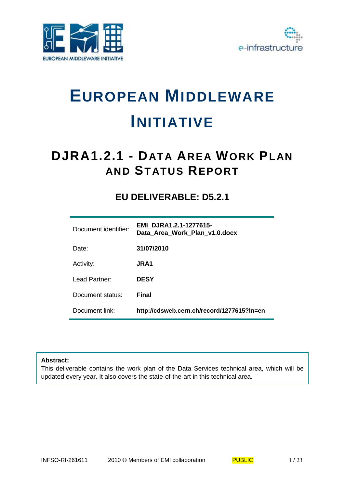



# **EUROPEAN MIDDLEWARE INITIATIVE**

# **DJRA1.2.1 - DATA AREA WORK PLAN AND STATUS REPORT**

# **EU DELIVERABLE: D5.2.1**

| Document identifier: | EMI DJRA1.2.1-1277615-<br>Data Area Work Plan v1.0.docx |
|----------------------|---------------------------------------------------------|
| Date:                | 31/07/2010                                              |
| Activity:            | <b>JRA1</b>                                             |
| Lead Partner:        | <b>DESY</b>                                             |
| Document status:     | Final                                                   |
| Document link:       | http://cdsweb.cern.ch/record/1277615?In=en              |

#### **Abstract:**

This deliverable contains the work plan of the Data Services technical area, which will be updated every year. It also covers the state-of-the-art in this technical area.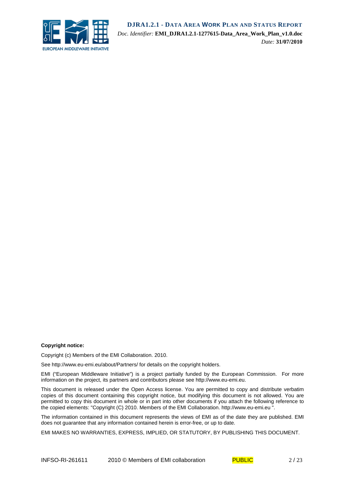

**DJRA1.2.1 - DATA AREA WORK PLAN AND STATUS REPORT** *Doc. Identifier:* **EMI\_DJRA1.2.1-1277615-Data\_Area\_Work\_Plan\_v1.0.doc** *Date:* **31/07/2010**

#### **Copyright notice:**

Copyright (c) Members of the EMI Collaboration. 2010.

See http://www.eu-emi.eu/about/Partners/ for details on the copyright holders.

EMI ("European Middleware Initiative") is a project partially funded by the European Commission. For more information on the project, its partners and contributors please see http://www.eu-emi.eu.

This document is released under the Open Access license. You are permitted to copy and distribute verbatim copies of this document containing this copyright notice, but modifying this document is not allowed. You are permitted to copy this document in whole or in part into other documents if you attach the following reference to the copied elements: "Copyright (C) 2010. Members of the EMI Collaboration. http://www.eu-emi.eu ".

The information contained in this document represents the views of EMI as of the date they are published. EMI does not guarantee that any information contained herein is error-free, or up to date.

EMI MAKES NO WARRANTIES, EXPRESS, IMPLIED, OR STATUTORY, BY PUBLISHING THIS DOCUMENT.

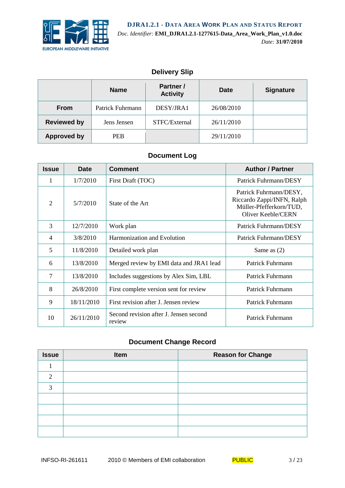

**DJRA1.2.1 - DATA AREA WORK PLAN AND STATUS REPORT** *Doc. Identifier:* **EMI\_DJRA1.2.1-1277615-Data\_Area\_Work\_Plan\_v1.0.doc** *Date:* **31/07/2010**

### **Delivery Slip**

|                    | <b>Name</b>      | <b>Partner /</b><br><b>Activity</b> | Date       | <b>Signature</b> |
|--------------------|------------------|-------------------------------------|------------|------------------|
| <b>From</b>        | Patrick Fuhrmann | DESY/JRA1                           | 26/08/2010 |                  |
| <b>Reviewed by</b> | Jens Jensen      | STFC/External                       | 26/11/2010 |                  |
| <b>Approved by</b> | <b>PEB</b>       |                                     | 29/11/2010 |                  |

#### **Document Log**

| <b>Issue</b>   | <b>Date</b> | <b>Comment</b>                                   | <b>Author / Partner</b>                                                                                      |
|----------------|-------------|--------------------------------------------------|--------------------------------------------------------------------------------------------------------------|
| 1              | 1/7/2010    | First Draft (TOC)                                | Patrick Fuhrmann/DESY                                                                                        |
| 2              | 5/7/2010    | State of the Art                                 | Patrick Fuhrmann/DESY,<br>Riccardo Zappi/INFN, Ralph<br>Müller-Pfefferkorn/TUD,<br><b>Oliver Keeble/CERN</b> |
| 3              | 12/7/2010   | Work plan                                        | Patrick Fuhrmann/DESY                                                                                        |
| 4              | 3/8/2010    | Harmonization and Evolution                      | Patrick Fuhrmann/DESY                                                                                        |
| 5              | 11/8/2010   | Detailed work plan                               | Same as $(2)$                                                                                                |
| 6              | 13/8/2010   | Merged review by EMI data and JRA1 lead          | Patrick Fuhrmann                                                                                             |
| $\overline{7}$ | 13/8/2010   | Includes suggestions by Alex Sim, LBL            | Patrick Fuhrmann                                                                                             |
| 8              | 26/8/2010   | First complete version sent for review           | Patrick Fuhrmann                                                                                             |
| 9              | 18/11/2010  | First revision after J. Jensen review            | Patrick Fuhrmann                                                                                             |
| 10             | 26/11/2010  | Second revision after J. Jensen second<br>review | Patrick Fuhrmann                                                                                             |

# **Document Change Record**

| <b>Issue</b> | Item | <b>Reason for Change</b> |
|--------------|------|--------------------------|
|              |      |                          |
| ◠            |      |                          |
| 3            |      |                          |
|              |      |                          |
|              |      |                          |
|              |      |                          |
|              |      |                          |

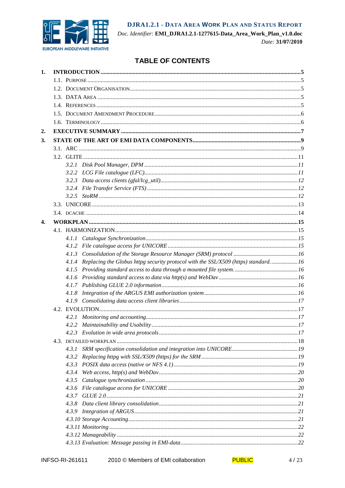

# DJRA1.2.1 - DATA AREA WORK PLAN AND STATUS REPORT

Doc. Identifier: EMI\_DJRA1.2.1-1277615-Data\_Area\_Work\_Plan\_v1.0.doc Date: 31/07/2010

## **TABLE OF CONTENTS**

| 1. |  |       |                                                                                         |  |  |  |  |  |
|----|--|-------|-----------------------------------------------------------------------------------------|--|--|--|--|--|
|    |  |       |                                                                                         |  |  |  |  |  |
|    |  |       |                                                                                         |  |  |  |  |  |
|    |  |       |                                                                                         |  |  |  |  |  |
|    |  |       |                                                                                         |  |  |  |  |  |
|    |  |       |                                                                                         |  |  |  |  |  |
|    |  |       |                                                                                         |  |  |  |  |  |
| 2. |  |       |                                                                                         |  |  |  |  |  |
| 3. |  |       |                                                                                         |  |  |  |  |  |
|    |  |       |                                                                                         |  |  |  |  |  |
|    |  |       |                                                                                         |  |  |  |  |  |
|    |  |       |                                                                                         |  |  |  |  |  |
|    |  |       |                                                                                         |  |  |  |  |  |
|    |  |       |                                                                                         |  |  |  |  |  |
|    |  |       |                                                                                         |  |  |  |  |  |
|    |  |       |                                                                                         |  |  |  |  |  |
|    |  |       |                                                                                         |  |  |  |  |  |
|    |  |       |                                                                                         |  |  |  |  |  |
| 4. |  |       |                                                                                         |  |  |  |  |  |
|    |  |       |                                                                                         |  |  |  |  |  |
|    |  |       |                                                                                         |  |  |  |  |  |
|    |  |       |                                                                                         |  |  |  |  |  |
|    |  |       |                                                                                         |  |  |  |  |  |
|    |  |       | 4.1.4 Replacing the Globus httpg security protocol with the SSL/X509 (https) standard16 |  |  |  |  |  |
|    |  |       |                                                                                         |  |  |  |  |  |
|    |  |       |                                                                                         |  |  |  |  |  |
|    |  |       |                                                                                         |  |  |  |  |  |
|    |  | 4.1.8 |                                                                                         |  |  |  |  |  |
|    |  |       |                                                                                         |  |  |  |  |  |
|    |  |       |                                                                                         |  |  |  |  |  |
|    |  |       |                                                                                         |  |  |  |  |  |
|    |  |       |                                                                                         |  |  |  |  |  |
|    |  |       |                                                                                         |  |  |  |  |  |
|    |  |       |                                                                                         |  |  |  |  |  |
|    |  | 4.3.1 |                                                                                         |  |  |  |  |  |
|    |  | 4.3.2 |                                                                                         |  |  |  |  |  |
|    |  | 4.3.3 |                                                                                         |  |  |  |  |  |
|    |  | 4.3.4 |                                                                                         |  |  |  |  |  |
|    |  | 4.3.5 |                                                                                         |  |  |  |  |  |
|    |  | 4.3.6 |                                                                                         |  |  |  |  |  |
|    |  |       |                                                                                         |  |  |  |  |  |
|    |  | 4.3.8 |                                                                                         |  |  |  |  |  |
|    |  |       |                                                                                         |  |  |  |  |  |
|    |  |       |                                                                                         |  |  |  |  |  |
|    |  |       |                                                                                         |  |  |  |  |  |
|    |  |       |                                                                                         |  |  |  |  |  |
|    |  |       |                                                                                         |  |  |  |  |  |
|    |  |       |                                                                                         |  |  |  |  |  |

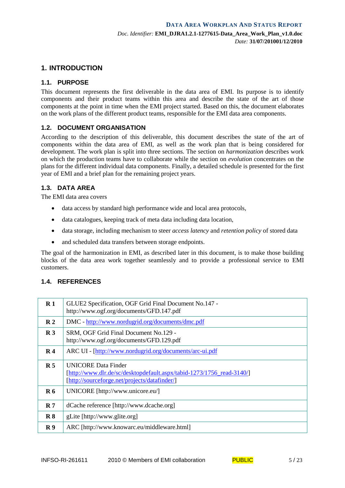#### **1. INTRODUCTION**

#### **1.1. PURPOSE**

This document represents the first deliverable in the data area of EMI. Its purpose is to identify components and their product teams within this area and describe the state of the art of those components at the point in time when the EMI project started. Based on this, the document elaborates on the work plans of the different product teams, responsible for the EMI data area components.

#### **1.2. DOCUMENT ORGANISATION**

According to the description of this deliverable, this document describes the state of the art of components within the data area of EMI, as well as the work plan that is being considered for development. The work plan is split into three sections. The section on *harmonization* describes work on which the production teams have to collaborate while the section on *evolution* concentrates on the plans for the different individual data components. Finally, a detailed schedule is presented for the first year of EMI and a brief plan for the remaining project years.

#### **1.3. DATA AREA**

The EMI data area covers

- data access by standard high performance wide and local area protocols,
- data catalogues, keeping track of meta data including data location,
- data storage, including mechanism to steer *access latency* and *retention policy* of stored data
- and scheduled data transfers between storage endpoints.

The goal of the harmonization in EMI, as described later in this document, is to make those building blocks of the data area work together seamlessly and to provide a professional service to EMI customers.

#### **1.4. REFERENCES**

| R <sub>1</sub> | GLUE2 Specification, OGF Grid Final Document No.147 -<br>http://www.ogf.org/documents/GFD.147.pdf                                                    |
|----------------|------------------------------------------------------------------------------------------------------------------------------------------------------|
| $\bf R$ 2      | DMC - http://www.nordugrid.org/documents/dmc.pdf                                                                                                     |
| $\mathbf{R}3$  | SRM, OGF Grid Final Document No.129 -<br>http://www.ogf.org/documents/GFD.129.pdf                                                                    |
| $\mathbf{R}$ 4 | ARC UI - [http://www.nordugrid.org/documents/arc-ui.pdf                                                                                              |
| R <sub>5</sub> | <b>UNICORE</b> Data Finder<br>[http://www.dlr.de/sc/desktopdefault.aspx/tabid-1273/1756_read-3140/]<br>[http://sourceforge.net/projects/datafinder/] |
| $\mathbf{R}$ 6 | UNICORE [http://www.unicore.eu/]                                                                                                                     |
| $\mathbf{R}$ 7 | dCache reference [http://www.dcache.org]                                                                                                             |
| R8             | gLite [http://www.glite.org]                                                                                                                         |
| R <sub>9</sub> | ARC [http://www.knowarc.eu/middleware.html]                                                                                                          |

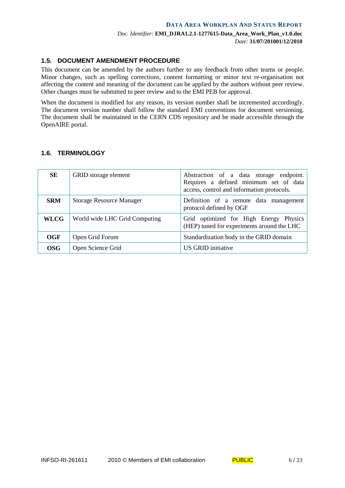#### **1.5. DOCUMENT AMENDMENT PROCEDURE**

This document can be amended by the authors further to any feedback from other teams or people. Minor changes, such as spelling corrections, content formatting or minor text re-organisation not affecting the content and meaning of the document can be applied by the authors without peer review. Other changes must be submitted to peer review and to the EMI PEB for approval.

When the document is modified for any reason, its version number shall be incremented accordingly. The document version number shall follow the standard EMI conventions for document versioning. The document shall be maintained in the CERN CDS repository and be made accessible through the OpenAIRE portal.

#### **1.6. TERMINOLOGY**

| <b>SE</b>   | <b>GRID</b> storage element     | Abstraction of a data storage endpoint.<br>Requires a defined minimum set of data<br>access, control and information protocols. |
|-------------|---------------------------------|---------------------------------------------------------------------------------------------------------------------------------|
| <b>SRM</b>  | <b>Storage Resource Manager</b> | Definition of a remote data management<br>protocol defined by OGF                                                               |
| <b>WLCG</b> | World wide LHC Grid Computing   | Grid optimized for High Energy Physics<br>(HEP) tuned for experiments around the LHC                                            |
| OGF         | Open Grid Forum                 | Standardization body in the GRID domain                                                                                         |
| <b>OSG</b>  | Open Science Grid               | US GRID initiative                                                                                                              |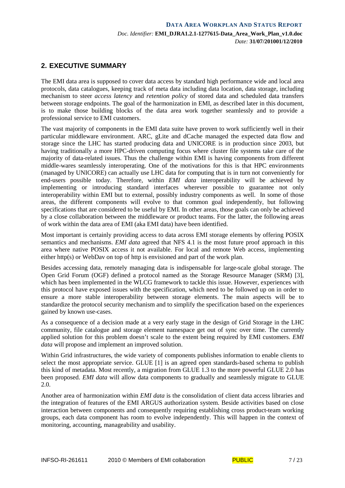#### **2. EXECUTIVE SUMMARY**

The EMI data area is supposed to cover data access by standard high performance wide and local area protocols, data catalogues, keeping track of meta data including data location, data storage, including mechanism to steer *access latency* and *retention policy* of stored data and scheduled data transfers between storage endpoints. The goal of the harmonization in EMI, as described later in this document, is to make those building blocks of the data area work together seamlessly and to provide a professional service to EMI customers.

The vast majority of components in the EMI data suite have proven to work sufficiently well in their particular middleware environment. ARC, gLite and dCache managed the expected data flow and storage since the LHC has started producing data and UNICORE is in production since 2003, but having traditionally a more HPC-driven computing focus where cluster file systems take care of the majority of data-related issues. Thus the challenge within EMI is having components from different middle-wares seamlessly interoperating. One of the motivations for this is that HPC environments (managed by UNICORE) can actually use LHC data for computing that is in turn not conveniently for end-users possible today. Therefore, within *EMI data* interoperability will be achieved by implementing or introducing standard interfaces wherever possible to guarantee not only interoperability within EMI but to external, possibly industry components as well. In some of those areas, the different components will evolve to that common goal independently, but following specifications that are considered to be useful by EMI. In other areas, those goals can only be achieved by a close collaboration between the middleware or product teams. For the latter, the following areas of work within the data area of EMI (aka EMI data) have been identified.

Most important is certainly providing access to data across EMI storage elements by offering POSIX semantics and mechanisms. *EMI data* agreed that NFS 4.1 is the most future proof approach in this area where native POSIX access it not available. For local and remote Web access, implementing either http(s) or WebDav on top of http is envisioned and part of the work plan.

Besides accessing data, remotely managing data is indispensable for large-scale global storage. The Open Grid Forum (OGF) defined a protocol named as the Storage Resource Manager (SRM) [3], which has been implemented in the WLCG framework to tackle this issue. However, experiences with this protocol have exposed issues with the specification, which need to be followed up on in order to ensure a more stable interoperability between storage elements. The main aspects will be to standardize the protocol security mechanism and to simplify the specification based on the experiences gained by known use-cases.

As a consequence of a decision made at a very early stage in the design of Grid Storage in the LHC community, file catalogue and storage element namespace get out of sync over time. The currently applied solution for this problem doesn't scale to the extent being required by EMI customers. *EMI data* will propose and implement an improved solution.

Within Grid infrastructures, the wide variety of components publishes information to enable clients to select the most appropriate service. GLUE [1] is an agreed open standards-based schema to publish this kind of metadata. Most recently, a migration from GLUE 1.3 to the more powerful GLUE 2.0 has been proposed. *EMI data* will allow data components to gradually and seamlessly migrate to GLUE 2.0.

Another area of harmonization within *EMI data* is the consolidation of client data access libraries and the integration of features of the EMI ARGUS authorization system. Beside activities based on close interaction between components and consequently requiring establishing cross product-team working groups, each data component has room to evolve independently. This will happen in the context of monitoring, accounting, manageability and usability.

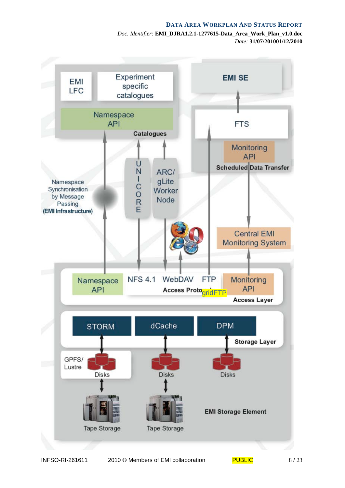#### **DATA AREA WORKPLAN AND STATUS REPORT**

*Doc. Identifier:* **EMI\_DJRA1.2.1-1277615-Data\_Area\_Work\_Plan\_v1.0.doc** *Date:* **31/07/201001/12/2010**



INFSO-RI-261611 2010 © Members of EMI collaboration PUBLIC 8/23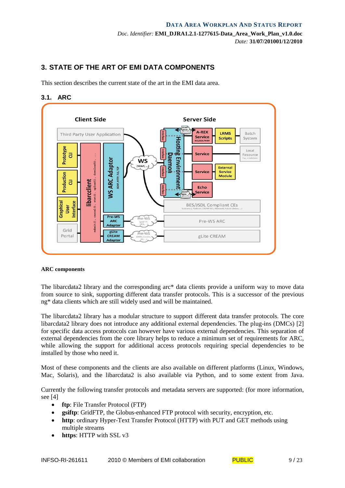## **3. STATE OF THE ART OF EMI DATA COMPONENTS**

This section describes the current state of the art in the EMI data area.

#### **3.1. ARC**



#### **ARC components**

The libarcdata2 library and the corresponding arc\* data clients provide a uniform way to move data from source to sink, supporting different data transfer protocols. This is a successor of the previous ng\* data clients which are still widely used and will be maintained.

The libarcdata2 library has a modular structure to support different data transfer protocols. The core libarcdata2 library does not introduce any additional external dependencies. The plug-ins (DMCs) [2] for specific data access protocols can however have various external dependencies. This separation of external dependencies from the core library helps to reduce a minimum set of requirements for ARC, while allowing the support for additional access protocols requiring special dependencies to be installed by those who need it.

Most of these components and the clients are also available on different platforms (Linux, Windows, Mac, Solaris), and the libarcdata2 is also available via Python, and to some extent from Java.

Currently the following transfer protocols and metadata servers are supported: (for more information, see [4]

- **ftp**: File Transfer Protocol (FTP)
- **gsiftp**: GridFTP, the Globus-enhanced FTP protocol with security, encryption, etc.
- **http**: ordinary Hyper-Text Transfer Protocol (HTTP) with PUT and GET methods using multiple streams
- **https**: HTTP with SSL v3

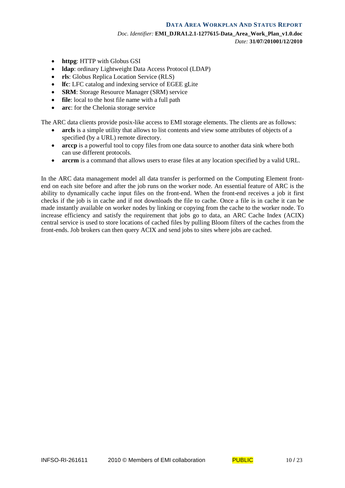#### **DATA AREA WORKPLAN AND STATUS REPORT**

*Doc. Identifier:* **EMI\_DJRA1.2.1-1277615-Data\_Area\_Work\_Plan\_v1.0.doc**

*Date:* **31/07/201001/12/2010**

- **httpg**: HTTP with Globus GSI
- **ldap**: ordinary Lightweight Data Access Protocol (LDAP)
- **rls**: Globus Replica Location Service (RLS)
- **lfc**: LFC catalog and indexing service of EGEE gLite
- **SRM**: Storage Resource Manager (SRM) service
- **file**: local to the host file name with a full path
- **arc**: for the Chelonia storage service

The ARC data clients provide posix-like access to EMI storage elements. The clients are as follows:

- **arcls** is a simple utility that allows to list contents and view some attributes of objects of a specified (by a URL) remote directory.
- **arccp** is a powerful tool to copy files from one data source to another data sink where both can use different protocols.
- **arcrm** is a command that allows users to erase files at any location specified by a valid URL.

In the ARC data management model all data transfer is performed on the Computing Element frontend on each site before and after the job runs on the worker node. An essential feature of ARC is the ability to dynamically cache input files on the front-end. When the front-end receives a job it first checks if the job is in cache and if not downloads the file to cache. Once a file is in cache it can be made instantly available on worker nodes by linking or copying from the cache to the worker node. To increase efficiency and satisfy the requirement that jobs go to data, an ARC Cache Index (ACIX) central service is used to store locations of cached files by pulling Bloom filters of the caches from the front-ends. Job brokers can then query ACIX and send jobs to sites where jobs are cached.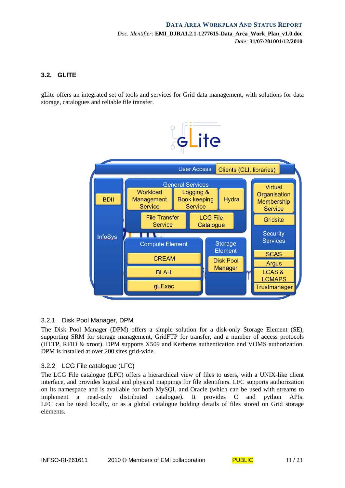#### **3.2. GLITE**

gLite offers an integrated set of tools and services for Grid data management, with solutions for data storage, catalogues and reliable file transfer.



#### 3.2.1 Disk Pool Manager, DPM

The Disk Pool Manager (DPM) offers a simple solution for a disk-only Storage Element (SE), supporting SRM for storage management, GridFTP for transfer, and a number of access protocols (HTTP, RFIO & xroot). DPM supports X509 and Kerberos authentication and VOMS authorization. DPM is installed at over 200 sites grid-wide.

#### 3.2.2 LCG File catalogue (LFC)

The LCG File catalogue (LFC) offers a hierarchical view of files to users, with a UNIX-like client interface, and provides logical and physical mappings for file identifiers. LFC supports authorization on its namespace and is available for both MySQL and Oracle (which can be used with streams to implement a read-only distributed catalogue). It provides C and python APIs. LFC can be used locally, or as a global catalogue holding details of files stored on Grid storage elements.

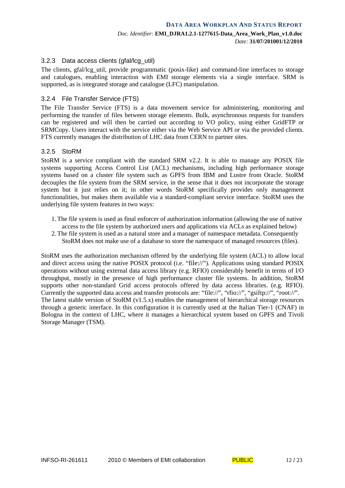#### 3.2.3 Data access clients (gfal/lcg\_util)

The clients, gfal/lcg util, provide programmatic (posix-like) and command-line interfaces to storage and catalogues, enabling interaction with EMI storage elements via a single interface. SRM is supported, as is integrated storage and catalogue (LFC) manipulation.

#### 3.2.4 File Transfer Service (FTS)

The File Transfer Service (FTS) is a data movement service for administering, monitoring and performing the transfer of files between storage elements. Bulk, asynchronous requests for transfers can be registered and will then be carried out according to VO policy, using either GridFTP or SRMCopy. Users interact with the service either via the Web Service API or via the provided clients. FTS currently manages the distribution of LHC data from CERN to partner sites.

#### 3.2.5 StoRM

StoRM is a service compliant with the standard SRM v2.2. It is able to manage any POSIX file systems supporting Access Control List (ACL) mechanisms, including high performance storage systems based on a cluster file system such as GPFS from IBM and Lustre from Oracle. StoRM decouples the file system from the SRM service, in the sense that it does not incorporate the storage system but it just relies on it; in other words StoRM specifically provides only management functionalities, but makes them available via a standard-compliant service interface. StoRM uses the underlying file system features in two ways:

- 1.The file system is used as final enforcer of authorization information (allowing the use of native access to the file system by authorized users and applications via ACLs as explained below)
- 2.The file system is used as a natural store and a manager of namespace metadata. Consequently StoRM does not make use of a database to store the namespace of managed resources (files).

StoRM uses the authorization mechanism offered by the underlying file system (ACL) to allow local and direct access using the native POSIX protocol (i.e. "file://"). Applications using standard POSIX operations without using external data access library (e.g. RFIO) considerably benefit in terms of I/O throughput, mostly in the presence of high performance cluster file systems. In addition, StoRM supports other non-standard Grid access protocols offered by data access libraries. (e.g. RFIO). Currently the supported data access and transfer protocols are: "file://", "rfio://", "gsiftp://", "root://". The latest stable version of StoRM (v1.5.x) enables the management of hierarchical storage resources through a generic interface. In this configuration it is currently used at the Italian Tier-1 (CNAF) in Bologna in the context of LHC, where it manages a hierarchical system based on GPFS and Tivoli Storage Manager (TSM).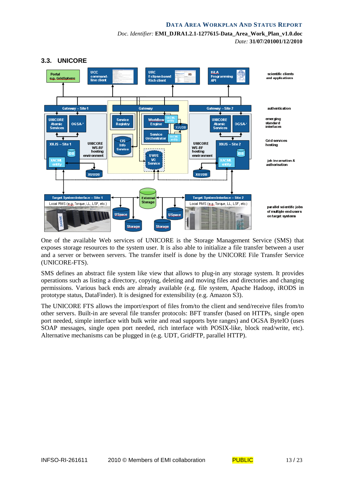#### **DATA AREA WORKPLAN AND STATUS REPORT**

*Doc. Identifier:* **EMI\_DJRA1.2.1-1277615-Data\_Area\_Work\_Plan\_v1.0.doc** *Date:* **31/07/201001/12/2010**



One of the available Web services of UNICORE is the Storage Management Service (SMS) that exposes storage resources to the system user. It is also able to initialize a file transfer between a user and a server or between servers. The transfer itself is done by the UNICORE File Transfer Service (UNICORE-FTS).

SMS defines an abstract file system like view that allows to plug-in any storage system. It provides operations such as listing a directory, copying, deleting and moving files and directories and changing permissions. Various back ends are already available (e.g. file system, Apache Hadoop, iRODS in prototype status, DataFinder). It is designed for extensibility (e.g. Amazon S3).

The UNICORE FTS allows the import/export of files from/to the client and send/receive files from/to other servers. Built-in are several file transfer protocols: BFT transfer (based on HTTPs, single open port needed, simple interface with bulk write and read supports byte ranges) and OGSA ByteIO (uses SOAP messages, single open port needed, rich interface with POSIX-like, block read/write, etc). Alternative mechanisms can be plugged in (e.g. UDT, GridFTP, parallel HTTP).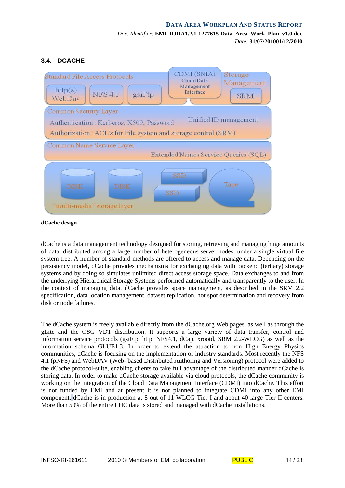#### **DATA AREA WORKPLAN AND STATUS REPORT** *Doc. Identifier:* **EMI\_DJRA1.2.1-1277615-Data\_Area\_Work\_Plan\_v1.0.doc** *Date:* **31/07/201001/12/2010**

#### **3.4. DCACHE**



**dCache design**

dCache is a data management technology designed for storing, retrieving and managing huge amounts of data, distributed among a large number of heterogeneous server nodes, under a single virtual file system tree. A number of standard methods are offered to access and manage data. Depending on the persistency model, dCache provides mechanisms for exchanging data with backend (tertiary) storage systems and by doing so simulates unlimited direct access storage space. Data exchanges to and from the underlying Hierarchical Storage Systems performed automatically and transparently to the user. In the context of managing data, dCache provides space management, as described in the SRM 2.2 specification, data location management, dataset replication, hot spot determination and recovery from disk or node failures.

The dCache system is freely available directly from the dCache.org Web pages, as well as through the gLite and the OSG VDT distribution. It supports a large variety of data transfer, control and information service protocols (gsiFtp, http, NFS4.1, dCap, xrootd, SRM 2.2-WLCG) as well as the information schema GLUE1.3. In order to extend the attraction to non High Energy Physics communities, dCache is focusing on the implementation of industry standards. Most recently the NFS 4.1 (pNFS) and WebDAV (Web- based Distributed Authoring and Versioning) protocol were added to the dCache protocol-suite, enabling clients to take full advantage of the distributed manner dCache is storing data. In order to make dCache storage available via cloud protocols, the dCache community is working on the integration of the Cloud Data Management Interface (CDMI) into dCache. This effort is not funded by EMI and at present it is not planned to integrate CDMI into any other EMI component. dCache is in production at 8 out of 11 WLCG Tier I and about 40 large Tier II centers. More than 50% of the entire LHC data is stored and managed with dCache installations.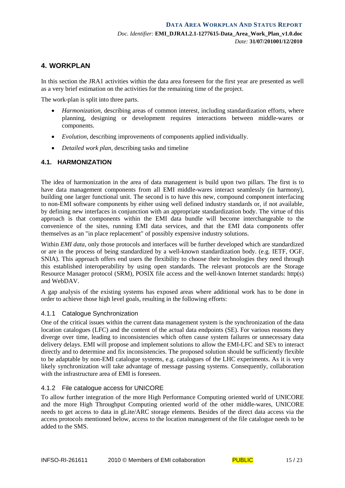#### **4. WORKPLAN**

In this section the JRA1 activities within the data area foreseen for the first year are presented as well as a very brief estimation on the activities for the remaining time of the project.

The work-plan is split into three parts.

- *Harmonization*, describing areas of common interest, including standardization efforts, where planning, designing or development requires interactions between middle-wares or components.
- *Evolution*, describing improvements of components applied individually.
- *Detailed work plan*, describing tasks and timeline

#### **4.1. HARMONIZATION**

The idea of harmonization in the area of data management is build upon two pillars. The first is to have data management components from all EMI middle-wares interact seamlessly (in harmony), building one larger functional unit. The second is to have this new, compound component interfacing to non-EMI software components by either using well defined industry standards or, if not available, by defining new interfaces in conjunction with an appropriate standardization body. The virtue of this approach is that components within the EMI data bundle will become interchangeable to the convenience of the sites, running EMI data services, and that the EMI data components offer themselves as an "in place replacement" of possibly expensive industry solutions.

Within *EMI data*, only those protocols and interfaces will be further developed which are standardized or are in the process of being standardized by a well-known standardization body. (e.g. IETF, OGF, SNIA). This approach offers end users the flexibility to choose their technologies they need through this established interoperability by using open standards. The relevant protocols are the Storage Resource Manager protocol (SRM), POSIX file access and the well-known Internet standards: http(s) and WebDAV.

A gap analysis of the existing systems has exposed areas where additional work has to be done in order to achieve those high level goals, resulting in the following efforts:

#### 4.1.1 Catalogue Synchronization

One of the critical issues within the current data management system is the synchronization of the data location catalogues (LFC) and the content of the actual data endpoints (SE). For various reasons they diverge over time, leading to inconsistencies which often cause system failures or unnecessary data delivery delays. EMI will propose and implement solutions to allow the EMI-LFC and SE's to interact directly and to determine and fix inconsistencies. The proposed solution should be sufficiently flexible to be adaptable by non-EMI catalogue systems, e.g. catalogues of the LHC experiments. As it is very likely synchronization will take advantage of message passing systems. Consequently, collaboration with the infrastructure area of EMI is foreseen.

#### 4.1.2 File catalogue access for UNICORE

To allow further integration of the more High Performance Computing oriented world of UNICORE and the more High Throughput Computing oriented world of the other middle-wares, UNICORE needs to get access to data in gLite/ARC storage elements. Besides of the direct data access via the access protocols mentioned below, access to the location management of the file catalogue needs to be added to the SMS.

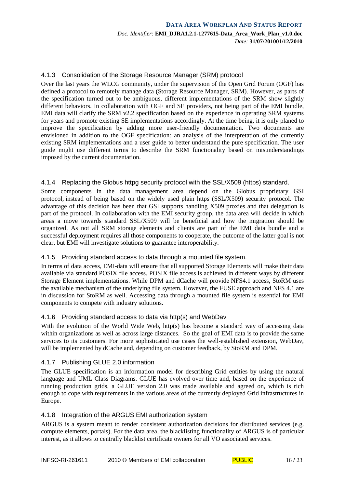#### 4.1.3 Consolidation of the Storage Resource Manager (SRM) protocol

Over the last years the WLCG community, under the supervision of the Open Grid Forum (OGF) has defined a protocol to remotely manage data (Storage Resource Manager, SRM). However, as parts of the specification turned out to be ambiguous, different implementations of the SRM show slightly different behaviors. In collaboration with OGF and SE providers, not being part of the EMI bundle, EMI data will clarify the SRM v2.2 specification based on the experience in operating SRM systems for years and promote existing SE implementations accordingly. At the time being, it is only planed to improve the specification by adding more user-friendly documentation. Two documents are envisioned in addition to the OGF specification: an analysis of the interpretation of the currently existing SRM implementations and a user guide to better understand the pure specification. The user guide might use different terms to describe the SRM functionality based on misunderstandings imposed by the current documentation.

#### 4.1.4 Replacing the Globus httpg security protocol with the SSL/X509 (https) standard.

Some components in the data management area depend on the Globus proprietary GSI protocol, instead of being based on the widely used plain https (SSL/X509) security protocol. The advantage of this decision has been that GSI supports handling X509 proxies and that delegation is part of the protocol. In collaboration with the EMI security group, the data area will decide in which areas a move towards standard SSL/X509 will be beneficial and how the migration should be organized. As not all SRM storage elements and clients are part of the EMI data bundle and a successful deployment requires all those components to cooperate, the outcome of the latter goal is not clear, but EMI will investigate solutions to guarantee interoperability.

#### 4.1.5 Providing standard access to data through a mounted file system.

In terms of data access, EMI-data will ensure that all supported Storage Elements will make their data available via standard POSIX file access. POSIX file access is achieved in different ways by different Storage Element implementations. While DPM and dCache will provide NFS4.1 access, StoRM uses the available mechanism of the underlying file system. However, the FUSE approach and NFS 4.1 are in discussion for StoRM as well. Accessing data through a mounted file system is essential for EMI components to compete with industry solutions.

#### 4.1.6 Providing standard access to data via http(s) and WebDav

With the evolution of the World Wide Web, http(s) has become a standard way of accessing data within organizations as well as across large distances. So the goal of EMI data is to provide the same services to its customers. For more sophisticated use cases the well-established extension, WebDav, will be implemented by dCache and, depending on customer feedback, by StoRM and DPM.

#### 4.1.7 Publishing GLUE 2.0 information

The GLUE specification is an information model for describing Grid entities by using the natural language and UML Class Diagrams. GLUE has evolved over time and, based on the experience of running production grids, a GLUE version 2.0 was made available and agreed on, which is rich enough to cope with requirements in the various areas of the currently deployed Grid infrastructures in Europe.

#### 4.1.8 Integration of the ARGUS EMI authorization system

ARGUS is a system meant to render consistent authorization decisions for distributed services (e.g. compute elements, portals). For the data area, the blacklisting functionality of ARGUS is of particular interest, as it allows to centrally blacklist certificate owners for all VO associated services.

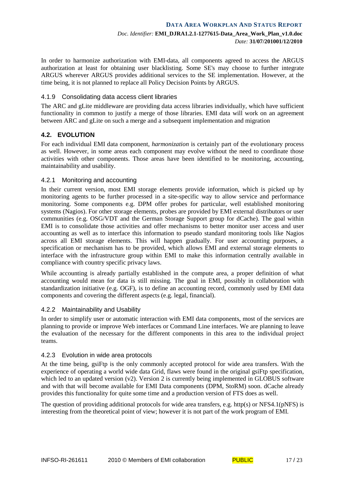In order to harmonize authorization with EMI-data, all components agreed to access the ARGUS authorization at least for obtaining user blacklisting. Some SE's may choose to further integrate ARGUS wherever ARGUS provides additional services to the SE implementation. However, at the time being, it is not planned to replace all Policy Decision Points by ARGUS.

#### 4.1.9 Consolidating data access client libraries

The ARC and gLite middleware are providing data access libraries individually, which have sufficient functionality in common to justify a merge of those libraries. EMI data will work on an agreement between ARC and gLite on such a merge and a subsequent implementation and migration

#### **4.2. EVOLUTION**

For each individual EMI data component, *harmonization* is certainly part of the evolutionary process as well. However, in some areas each component may evolve without the need to coordinate those activities with other components. Those areas have been identified to be monitoring, accounting, maintainability and usability.

#### 4.2.1 Monitoring and accounting

In their current version, most EMI storage elements provide information, which is picked up by monitoring agents to be further processed in a site-specific way to allow service and performance monitoring. Some components e.g. DPM offer probes for particular, well established monitoring systems (Nagios). For other storage elements, probes are provided by EMI external distributors or user communities (e.g. OSG/VDT and the German Storage Support group for dCache). The goal within EMI is to consolidate those activities and offer mechanisms to better monitor user access and user accounting as well as to interface this information to pseudo standard monitoring tools like Nagios across all EMI storage elements. This will happen gradually. For user accounting purposes, a specification or mechanism has to be provided, which allows EMI and external storage elements to interface with the infrastructure group within EMI to make this information centrally available in compliance with country specific privacy laws.

While accounting is already partially established in the compute area, a proper definition of what accounting would mean for data is still missing. The goal in EMI, possibly in collaboration with standardization initiative (e.g. OGF), is to define an accounting record, commonly used by EMI data components and covering the different aspects (e.g. legal, financial).

#### 4.2.2 Maintainability and Usability

In order to simplify user or automatic interaction with EMI data components, most of the services are planning to provide or improve Web interfaces or Command Line interfaces. We are planning to leave the evaluation of the necessary for the different components in this area to the individual project teams.

#### 4.2.3 Evolution in wide area protocols

At the time being, gsiFtp is the only commonly accepted protocol for wide area transfers. With the experience of operating a world wide data Grid, flaws were found in the original gsiFtp specification, which led to an updated version (v2). Version 2 is currently being implemented in GLOBUS software and with that will become available for EMI Data components (DPM, StoRM) soon. dCache already provides this functionality for quite some time and a production version of FTS does as well.

The question of providing additional protocols for wide area transfers, e.g. http(s) or NFS4.1(pNFS) is interesting from the theoretical point of view; however it is not part of the work program of EMI.

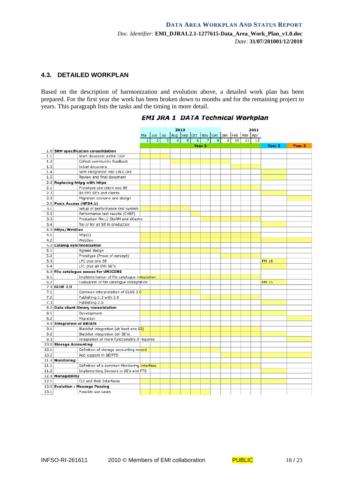#### **4.3. DETAILED WORKPLAN**

Based on the description of harmonization and evolution above, a detailed work plan has been prepared. For the first year the work has been broken down to months and for the remaining project to years. This paragraph lists the tasks and the timing in more detail.

# **EMI JRA 1 DATA Technical Workplan**

|      |                                               | 2010 |         |  |                             |   |        |                |   |   |    | 2011      |    |                   |                   |
|------|-----------------------------------------------|------|---------|--|-----------------------------|---|--------|----------------|---|---|----|-----------|----|-------------------|-------------------|
|      |                                               |      | Jun Jul |  | Aug Sep Oct Nov Dec Jan Feb |   |        |                |   |   |    | Mar   Apr |    |                   |                   |
|      |                                               |      |         |  |                             | 5 | 6      | $\overline{z}$ | 8 | 9 | 10 | 11        | 12 |                   |                   |
|      |                                               |      |         |  |                             |   | Year 1 |                |   |   |    |           |    | Year <sub>2</sub> | Year <sub>3</sub> |
|      | 1.0 SRM specification consolidation           |      |         |  |                             |   |        |                |   |   |    |           |    |                   |                   |
| 1.1  | Start dicussion within OGF                    |      |         |  |                             |   |        |                |   |   |    |           |    |                   |                   |
| 1.2  | Collect community feedback                    |      |         |  |                             |   |        |                |   |   |    |           |    |                   |                   |
| 1.3  | Initial document                              |      |         |  |                             |   |        |                |   |   |    |           |    |                   |                   |
| 1.4  | SRM integration into UNICORE                  |      |         |  |                             |   |        |                |   |   |    |           |    |                   |                   |
| 1.5  | Review and final document                     |      |         |  |                             |   |        |                |   |   |    |           |    |                   |                   |
|      | 2.0 Replacing httpg with https                |      |         |  |                             |   |        |                |   |   |    |           |    |                   |                   |
| 2.1  | Prototype one client one SE                   |      |         |  |                             |   |        |                |   |   |    |           |    |                   |                   |
| 2.2  | All EMI SE's and clients                      |      |         |  |                             |   |        |                |   |   |    |           |    |                   |                   |
| 2.3  | Migration scenario and design                 |      |         |  |                             |   |        |                |   |   |    |           |    |                   |                   |
|      | 3.0 Posix Access (NFS4.1)                     |      |         |  |                             |   |        |                |   |   |    |           |    |                   |                   |
| 3.1  | Setup of performance test system              |      |         |  |                             |   |        |                |   |   |    |           |    |                   |                   |
| 3.2  | Performance test results (CHEP)               |      |         |  |                             |   |        |                |   |   |    |           |    |                   |                   |
| 3.3  | Production file:// StoRM and dCache           |      |         |  |                             |   |        |                |   |   |    |           |    |                   |                   |
| 3.4  | file:// for all SE in production              |      |         |  |                             |   |        |                |   |   |    |           |    |                   |                   |
|      | 4.0 https/WebDav                              |      |         |  |                             |   |        |                |   |   |    |           |    |                   |                   |
| 4.1  | http(s)                                       |      |         |  |                             |   |        |                |   |   |    |           |    |                   |                   |
| 4.2  | WebDav                                        |      |         |  |                             |   |        |                |   |   |    |           |    |                   |                   |
|      | 5.0 Catalog synchronization                   |      |         |  |                             |   |        |                |   |   |    |           |    |                   |                   |
| 5.1  | Agreed design                                 |      |         |  |                             |   |        |                |   |   |    |           |    |                   |                   |
| 5.2  | Prototype (Prove of concept)                  |      |         |  |                             |   |        |                |   |   |    |           |    |                   |                   |
| 5.3  | LFC plus one SE                               |      |         |  |                             |   |        |                |   |   |    |           |    | <b>PM 18</b>      |                   |
| 5.4  | LFC plus all EMI SE"s                         |      |         |  |                             |   |        |                |   |   |    |           |    |                   |                   |
|      | 6.0 File catalogue access for UNICORE         |      |         |  |                             |   |        |                |   |   |    |           |    |                   |                   |
| 6.1  | Implementation of file catalogue integration  |      |         |  |                             |   |        |                |   |   |    |           |    |                   |                   |
| 6.2  | Evaluation of file catalogue intergration     |      |         |  |                             |   |        |                |   |   |    |           |    | <b>PM 15</b>      |                   |
|      | $7.0$ GLUE 2.0                                |      |         |  |                             |   |        |                |   |   |    |           |    |                   |                   |
| 7.1  | Common interpretation of GLUE 2.0             |      |         |  |                             |   |        |                |   |   |    |           |    |                   |                   |
| 7.2  | Publishing 1.3 with 2.0                       |      |         |  |                             |   |        |                |   |   |    |           |    |                   |                   |
| 7.3  | Publishing 2.0                                |      |         |  |                             |   |        |                |   |   |    |           |    |                   |                   |
|      | 8.0 Data client library consolidation         |      |         |  |                             |   |        |                |   |   |    |           |    |                   |                   |
| 8.1  | Development                                   |      |         |  |                             |   |        |                |   |   |    |           |    |                   |                   |
| 8.2  | Migration                                     |      |         |  |                             |   |        |                |   |   |    |           |    |                   |                   |
|      | 9.0 Integration of ARGUS                      |      |         |  |                             |   |        |                |   |   |    |           |    |                   |                   |
| 9.1  | Blacklist integration (at least one SE)       |      |         |  |                             |   |        |                |   |   |    |           |    |                   |                   |
| 9.2  | Blacklist integration (all SE's)              |      |         |  |                             |   |        |                |   |   |    |           |    |                   |                   |
| 9.3  | Integration of more functionality if required |      |         |  |                             |   |        |                |   |   |    |           |    |                   |                   |
|      | 10.0 Storage Accounting                       |      |         |  |                             |   |        |                |   |   |    |           |    |                   |                   |
| 10.1 | Definition of storage accounting record       |      |         |  |                             |   |        |                |   |   |    |           |    |                   |                   |
| 10.2 | Add support in SE/FTS                         |      |         |  |                             |   |        |                |   |   |    |           |    |                   |                   |
|      | 11.0 Monitoring                               |      |         |  |                             |   |        |                |   |   |    |           |    |                   |                   |
| 11.1 | Definition of a common Monitoring Interface   |      |         |  |                             |   |        |                |   |   |    |           |    |                   |                   |
| 11.2 | Implementing Sensors in SE's and FTS          |      |         |  |                             |   |        |                |   |   |    |           |    |                   |                   |
|      | 12.0 Managebility                             |      |         |  |                             |   |        |                |   |   |    |           |    |                   |                   |
| 12.1 | CLI and Web Interfaces                        |      |         |  |                             |   |        |                |   |   |    |           |    |                   |                   |
|      | 13.0 Evalution : Message Passing              |      |         |  |                             |   |        |                |   |   |    |           |    |                   |                   |
|      |                                               |      |         |  |                             |   |        |                |   |   |    |           |    |                   |                   |
| 13.1 | Possible use cases                            |      |         |  |                             |   |        |                |   |   |    |           |    |                   |                   |

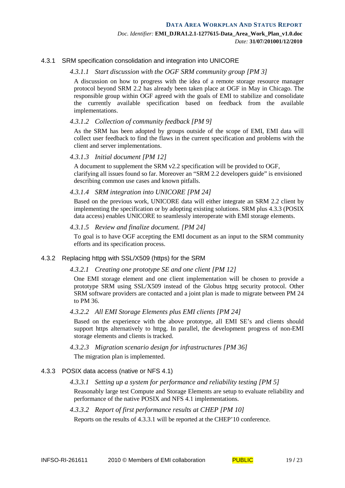#### 4.3.1 SRM specification consolidation and integration into UNICORE

#### *4.3.1.1 Start discussion with the OGF SRM community group [PM 3]*

A discussion on how to progress with the idea of a remote storage resource manager protocol beyond SRM 2.2 has already been taken place at OGF in May in Chicago. The responsible group within OGF agreed with the goals of EMI to stabilize and consolidate the currently available specification based on feedback from the available implementations.

#### *4.3.1.2 Collection of community feedback [PM 9]*

As the SRM has been adopted by groups outside of the scope of EMI, EMI data will collect user feedback to find the flaws in the current specification and problems with the client and server implementations.

#### *4.3.1.3 Initial document [PM 12]*

A document to supplement the SRM v2.2 specification will be provided to OGF, clarifying all issues found so far. Moreover an "SRM 2.2 developers guide" is envisioned describing common use cases and known pitfalls.

#### *4.3.1.4 SRM integration into UNICORE [PM 24]*

Based on the previous work, UNICORE data will either integrate an SRM 2.2 client by implementing the specification or by adopting existing solutions. SRM plus [4.3.3](#page-18-0) (POSIX data access) enables UNICORE to seamlessly interoperate with EMI storage elements.

#### *4.3.1.5 Review and finalize document. [PM 24]*

To goal is to have OGF accepting the EMI document as an input to the SRM community efforts and its specification process.

#### 4.3.2 Replacing httpg with SSL/X509 (https) for the SRM

#### *4.3.2.1 Creating one prototype SE and one client [PM 12]*

One EMI storage element and one client implementation will be chosen to provide a prototype SRM using SSL/X509 instead of the Globus httpg security protocol. Other SRM software providers are contacted and a joint plan is made to migrate between PM 24 to PM 36.

#### *4.3.2.2 All EMI Storage Elements plus EMI clients [PM 24]*

Based on the experience with the above prototype, all EMI SE's and clients should support https alternatively to httpg. In parallel, the development progress of non-EMI storage elements and clients is tracked.

#### *4.3.2.3 Migration scenario design for infrastructures [PM 36]*

The migration plan is implemented.

#### <span id="page-18-1"></span><span id="page-18-0"></span>4.3.3 POSIX data access (native or NFS 4.1)

#### *4.3.3.1 Setting up a system for performance and reliability testing [PM 5]*

Reasonably large test Compute and Storage Elements are setup to evaluate reliability and performance of the native POSIX and NFS 4.1 implementations.

#### *4.3.3.2 Report of first performance results at CHEP [PM 10]*

Reports on the results of [4.3.3.1](#page-18-1) will be reported at the CHEP'10 conference.

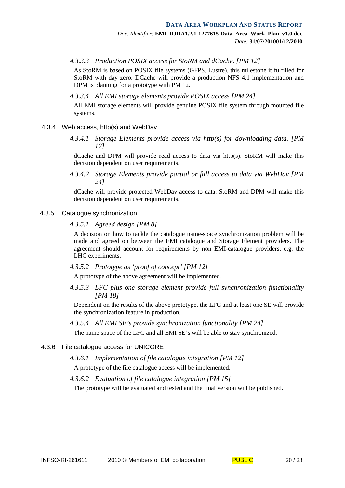#### *4.3.3.3 Production POSIX access for StoRM and dCache. [PM 12]*

As StoRM is based on POSIX file systems (GFPS, Lustre), this milestone it fulfilled for StoRM with day zero. DCache will provide a production NFS 4.1 implementation and DPM is planning for a prototype with PM 12.

#### *4.3.3.4 All EMI storage elements provide POSIX access [PM 24]*

All EMI storage elements will provide genuine POSIX file system through mounted file systems.

#### 4.3.4 Web access, http(s) and WebDav

*4.3.4.1 Storage Elements provide access via http(s) for downloading data. [PM 12]*

dCache and DPM will provide read access to data via http(s). StoRM will make this decision dependent on user requirements.

*4.3.4.2 Storage Elements provide partial or full access to data via WebDav [PM 24]*

dCache will provide protected WebDav access to data. StoRM and DPM will make this decision dependent on user requirements.

#### 4.3.5 Catalogue synchronization

#### *4.3.5.1 Agreed design [PM 8]*

A decision on how to tackle the catalogue name-space synchronization problem will be made and agreed on between the EMI catalogue and Storage Element providers. The agreement should account for requirements by non EMI-catalogue providers, e.g. the LHC experiments.

*4.3.5.2 Prototype as 'proof of concept' [PM 12]*

A prototype of the above agreement will be implemented.

*4.3.5.3 LFC plus one storage element provide full synchronization functionality [PM 18]*

Dependent on the results of the above prototype, the LFC and at least one SE will provide the synchronization feature in production.

#### *4.3.5.4 All EMI SE's provide synchronization functionality [PM 24]*

The name space of the LFC and all EMI SE's will be able to stay synchronized.

#### 4.3.6 File catalogue access for UNICORE

#### *4.3.6.1 Implementation of file catalogue integration [PM 12]*

A prototype of the file catalogue access will be implemented.

#### *4.3.6.2 Evaluation of file catalogue integration [PM 15]*

The prototype will be evaluated and tested and the final version will be published.

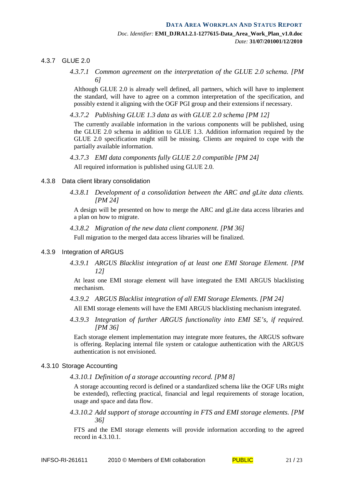#### 4.3.7 GLUE 2.0

*4.3.7.1 Common agreement on the interpretation of the GLUE 2.0 schema. [PM 6]*

Although GLUE 2.0 is already well defined, all partners, which will have to implement the standard, will have to agree on a common interpretation of the specification, and possibly extend it aligning with the OGF PGI group and their extensions if necessary.

*4.3.7.2 Publishing GLUE 1.3 data as with GLUE 2.0 schema [PM 12]*

The currently available information in the various components will be published, using the GLUE 2.0 schema in addition to GLUE 1.3. Addition information required by the GLUE 2.0 specification might still be missing. Clients are required to cope with the partially available information.

*4.3.7.3 EMI data components fully GLUE 2.0 compatible [PM 24]* All required information is published using GLUE 2.0.

- 4.3.8 Data client library consolidation
	- *4.3.8.1 Development of a consolidation between the ARC and gLite data clients. [PM 24]*

A design will be presented on how to merge the ARC and gLite data access libraries and a plan on how to migrate.

*4.3.8.2 Migration of the new data client component. [PM 36]*

Full migration to the merged data access libraries will be finalized.

#### 4.3.9 Integration of ARGUS

*4.3.9.1 ARGUS Blacklist integration of at least one EMI Storage Element. [PM 12]*

At least one EMI storage element will have integrated the EMI ARGUS blacklisting mechanism.

*4.3.9.2 ARGUS Blacklist integration of all EMI Storage Elements. [PM 24]*

All EMI storage elements will have the EMI ARGUS blacklisting mechanism integrated.

*4.3.9.3 Integration of further ARGUS functionality into EMI SE's, if required. [PM 36]*

Each storage element implementation may integrate more features, the ARGUS software is offering. Replacing internal file system or catalogue authentication with the ARGUS authentication is not envisioned.

#### <span id="page-20-0"></span>4.3.10 Storage Accounting

*4.3.10.1 Definition of a storage accounting record. [PM 8]*

A storage accounting record is defined or a standardized schema like the OGF URs might be extended), reflecting practical, financial and legal requirements of storage location, usage and space and data flow.

*4.3.10.2 Add support of storage accounting in FTS and EMI storage elements. [PM 36]*

FTS and the EMI storage elements will provide information according to the agreed record i[n 4.3.10.1.](#page-20-0)

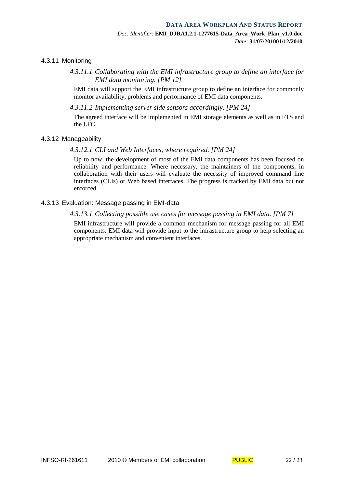#### 4.3.11 Monitoring

*4.3.11.1 Collaborating with the EMI infrastructure group to define an interface for EMI data monitoring. [PM 12]*

EMI data will support the EMI infrastructure group to define an interface for commonly monitor availability, problems and performance of EMI data components.

#### *4.3.11.2 Implementing server side sensors accordingly. [PM 24]*

The agreed interface will be implemented in EMI storage elements as well as in FTS and the LFC.

#### 4.3.12 Manageability

#### *4.3.12.1 CLI and Web Interfaces, where required. [PM 24]*

Up to now, the development of most of the EMI data components has been focused on reliability and performance. Where necessary, the maintainers of the components, in collaboration with their users will evaluate the necessity of improved command line interfaces (CLIs) or Web based interfaces. The progress is tracked by EMI data but not enforced.

#### 4.3.13 Evaluation: Message passing in EMI-data

#### *4.3.13.1 Collecting possible use cases for message passing in EMI data. [PM 7]*

EMI infrastructure will provide a common mechanism for message passing for all EMI components. EMI-data will provide input to the infrastructure group to help selecting an appropriate mechanism and convenient interfaces.